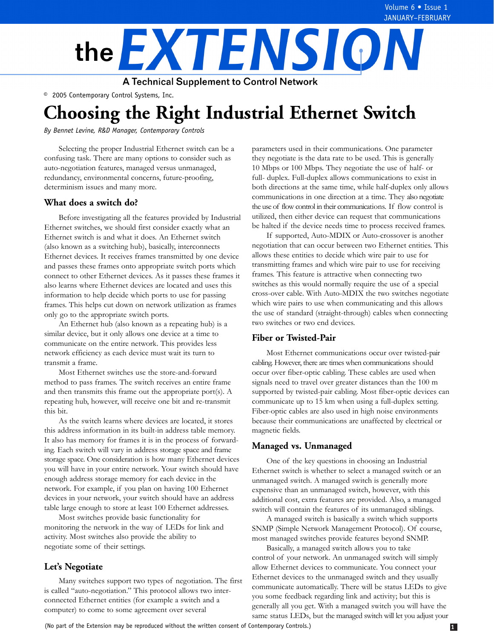

© 2005 Contemporary Control Systems, Inc.

# **Choosing the Right Industrial Ethernet Switch**

*By Bennet Levine, R&D Manager, Contemporary Controls*

Selecting the proper Industrial Ethernet switch can be a confusing task. There are many options to consider such as auto-negotiation features, managed versus unmanaged, redundancy, environmental concerns, future-proofing, determinism issues and many more.

# **What does a switch do?**

Before investigating all the features provided by Industrial Ethernet switches, we should first consider exactly what an Ethernet switch is and what it does. An Ethernet switch (also known as a switching hub), basically, interconnects Ethernet devices. It receives frames transmitted by one device and passes these frames onto appropriate switch ports which connect to other Ethernet devices. As it passes these frames it also learns where Ethernet devices are located and uses this information to help decide which ports to use for passing frames. This helps cut down on network utilization as frames only go to the appropriate switch ports.

An Ethernet hub (also known as a repeating hub) is a similar device, but it only allows one device at a time to communicate on the entire network. This provides less network efficiency as each device must wait its turn to transmit a frame.

Most Ethernet switches use the store-and-forward method to pass frames. The switch receives an entire frame and then transmits this frame out the appropriate port(s). A repeating hub, however, will receive one bit and re-transmit this bit.

As the switch learns where devices are located, it stores this address information in its built-in address table memory. It also has memory for frames it is in the process of forwarding. Each switch will vary in address storage space and frame storage space. One consideration is how many Ethernet devices you will have in your entire network. Your switch should have enough address storage memory for each device in the network. For example, if you plan on having 100 Ethernet devices in your network, your switch should have an address table large enough to store at least 100 Ethernet addresses.

Most switches provide basic functionality for monitoring the network in the way of LEDs for link and activity. Most switches also provide the ability to negotiate some of their settings.

# **Let's Negotiate**

Many switches support two types of negotiation. The first is called "auto-negotiation." This protocol allows two interconnected Ethernet entities (for example a switch and a computer) to come to some agreement over several

parameters used in their communications. One parameter they negotiate is the data rate to be used. This is generally 10 Mbps or 100 Mbps. They negotiate the use of half- or full- duplex. Full-duplex allows communications to exist in both directions at the same time, while half-duplex only allows communications in one direction at a time. They also negotiate the use of flow control in their communications. If flow control is utilized, then either device can request that communications be halted if the device needs time to process received frames.

If supported, Auto-MDIX or Auto-crossover is another negotiation that can occur between two Ethernet entities. This allows these entities to decide which wire pair to use for transmitting frames and which wire pair to use for receiving frames. This feature is attractive when connecting two switches as this would normally require the use of a special cross-over cable. With Auto-MDIX the two switches negotiate which wire pairs to use when communicating and this allows the use of standard (straight-through) cables when connecting two switches or two end devices.

# **Fiber or Twisted-Pair**

Most Ethernet communications occur over twisted-pair cabling. However, there are times when communications should occur over fiber-optic cabling. These cables are used when signals need to travel over greater distances than the 100 m supported by twisted-pair cabling. Most fiber-optic devices can communicate up to 15 km when using a full-duplex setting. Fiber-optic cables are also used in high noise environments because their communications are unaffected by electrical or magnetic fields.

# **Managed vs. Unmanaged**

One of the key questions in choosing an Industrial Ethernet switch is whether to select a managed switch or an unmanaged switch. A managed switch is generally more expensive than an unmanaged switch, however, with this additional cost, extra features are provided. Also, a managed switch will contain the features of its unmanaged siblings.

A managed switch is basically a switch which supports SNMP (Simple Network Management Protocol). Of course, most managed switches provide features beyond SNMP.

Basically, a managed switch allows you to take control of your network. An unmanaged switch will simply allow Ethernet devices to communicate. You connect your Ethernet devices to the unmanaged switch and they usually communicate automatically. There will be status LEDs to give you some feedback regarding link and activity; but this is generally all you get. With a managed switch you will have the same status LEDs, but the managed switch will let you adjust your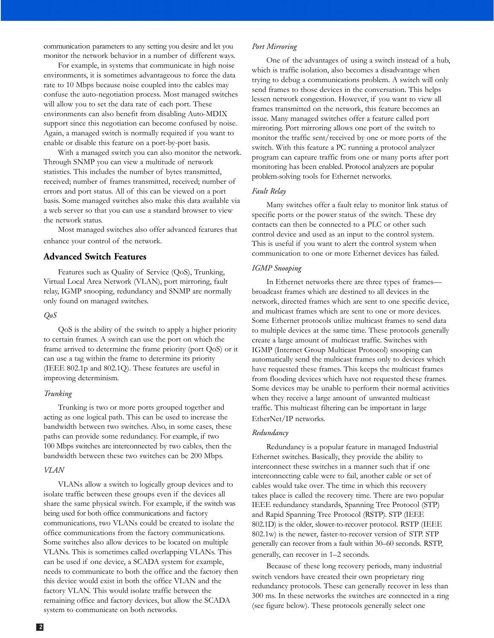communication parameters to any setting you desire and let you monitor the network behavior in a number of different ways.

For example, in systems that communicate in high noise environments, it is sometimes advantageous to force the data rate to 10 Mbps because noise coupled into the cables may confuse the auto-negotiation process. Most managed switches will allow you to set the data rate of each port. These environments can also benefit from disabling Auto-MDIX support since this negotiation can become confused by noise. Again, a managed switch is normally required if you want to enable or disable this feature on a port-by-port basis.

With a managed switch you can also monitor the network. Through SNMP you can view a multitude of network statistics. This includes the number of bytes transmitted, received; number of frames transmitted, received; number of errors and port status. All of this can be viewed on a port basis. Some managed switches also make this data available via a web server so that you can use a standard browser to view the network status.

Most managed switches also offer advanced features that enhance your control of the network.

## **Advanced Switch Features**

Features such as Quality of Service (QoS), Trunking, Virtual Local Area Network (VLAN), port mirroring, fault relay, IGMP snooping, redundancy and SNMP are normally only found on managed switches.

#### *QoS*

QoS is the ability of the switch to apply a higher priority to certain frames. A switch can use the port on which the frame arrived to determine the frame priority (port QoS) or it can use a tag within the frame to determine its priority (IEEE 802.1p and 802.1Q). These features are useful in improving determinism.

#### *Trunking*

Trunking is two or more ports grouped together and acting as one logical path. This can be used to increase the bandwidth between two switches. Also, in some cases, these paths can provide some redundancy. For example, if two 100 Mbps switches are interconnected by two cables, then the bandwidth between these two switches can be 200 Mbps.

#### *VLAN*

VLANs allow a switch to logically group devices and to isolate traffic between these groups even if the devices all share the same physical switch. For example, if the switch was being used for both office communications and factory communications, two VLANs could be created to isolate the office communications from the factory communications. Some switches also allow devices to be located on multiple VLANs. This is sometimes called overlapping VLANs. This can be used if one device, a SCADA system for example, needs to communicate to both the office and the factory then this device would exist in both the office VLAN and the factory VLAN. This would isolate traffic between the remaining office and factory devices, but allow the SCADA system to communicate on both networks.

One of the advantages of using a switch instead of a hub, which is traffic isolation, also becomes a disadvantage when trying to debug a communications problem. A switch will only send frames to those devices in the conversation. This helps lessen network congestion. However, if you want to view all frames transmitted on the network, this feature becomes an issue. Many managed switches offer a feature called port mirroring. Port mirroring allows one port of the switch to monitor the traffic sent/received by one or more ports of the switch. With this feature a PC running a protocol analyzer program can capture traffic from one or many ports after port monitoring has been enabled. Protocol analyzers are popular problem-solving tools for Ethernet networks.

#### *Fault Relay*

Many switches offer a fault relay to monitor link status of specific ports or the power status of the switch. These dry contacts can then be connected to a PLC or other such control device and used as an input to the control system. This is useful if you want to alert the control system when communication to one or more Ethernet devices has failed.

#### *IGMP Snooping*

In Ethernet networks there are three types of frames broadcast frames which are destined to all devices in the network, directed frames which are sent to one specific device, and multicast frames which are sent to one or more devices. Some Ethernet protocols utilize multicast frames to send data to multiple devices at the same time. These protocols generally create a large amount of multicast traffic. Switches with IGMP (Internet Group Multicast Protocol) snooping can automatically send the multicast frames only to devices which have requested these frames. This keeps the multicast frames from flooding devices which have not requested these frames. Some devices may be unable to perform their normal activities when they receive a large amount of unwanted multicast traffic. This multicast filtering can be important in large EtherNet/IP networks.

#### *Redundancy*

Redundancy is a popular feature in managed Industrial Ethernet switches. Basically, they provide the ability to interconnect these switches in a manner such that if one interconnecting cable were to fail, another cable or set of cables would take over. The time in which this recovery takes place is called the recovery time. There are two popular IEEE redundancy standards, Spanning Tree Protocol (STP) and Rapid Spanning Tree Protocol (RSTP). STP (IEEE 802.1D) is the older, slower-to-recover protocol. RSTP (IEEE 802.1w) is the newer, faster-to-recover version of STP. STP generally can recover from a fault within 30–60 seconds. RSTP, generally, can recover in 1–2 seconds.

Because of these long recovery periods, many industrial switch vendors have created their own proprietary ring redundancy protocols. These can generally recover in less than 300 ms. In these networks the switches are connected in a ring (see figure below). These protocols generally select one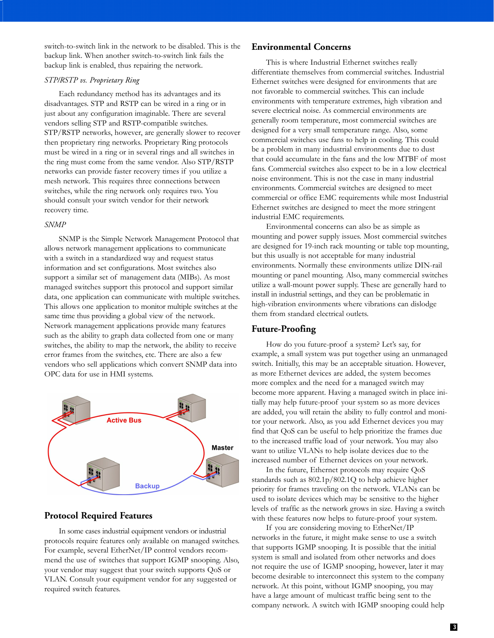switch-to-switch link in the network to be disabled. This is the backup link. When another switch-to-switch link fails the backup link is enabled, thus repairing the network.

## *STP/RSTP vs. Proprietary Ring*

Each redundancy method has its advantages and its disadvantages. STP and RSTP can be wired in a ring or in just about any configuration imaginable. There are several vendors selling STP and RSTP-compatible switches. STP/RSTP networks, however, are generally slower to recover then proprietary ring networks. Proprietary Ring protocols must be wired in a ring or in several rings and all switches in the ring must come from the same vendor. Also STP/RSTP networks can provide faster recovery times if you utilize a mesh network. This requires three connections between switches, while the ring network only requires two. You should consult your switch vendor for their network recovery time.

### *SNMP*

SNMP is the Simple Network Management Protocol that allows network management applications to communicate with a switch in a standardized way and request status information and set configurations. Most switches also support a similar set of management data (MIBs). As most managed switches support this protocol and support similar data, one application can communicate with multiple switches. This allows one application to monitor multiple switches at the same time thus providing a global view of the network. Network management applications provide many features such as the ability to graph data collected from one or many switches, the ability to map the network, the ability to receive error frames from the switches, etc. There are also a few vendors who sell applications which convert SNMP data into OPC data for use in HMI systems.



## **Protocol Required Features**

In some cases industrial equipment vendors or industrial protocols require features only available on managed switches. For example, several EtherNet/IP control vendors recommend the use of switches that support IGMP snooping. Also, your vendor may suggest that your switch supports QoS or VLAN. Consult your equipment vendor for any suggested or required switch features.

# **Environmental Concerns**

This is where Industrial Ethernet switches really differentiate themselves from commercial switches. Industrial Ethernet switches were designed for environments that are not favorable to commercial switches. This can include environments with temperature extremes, high vibration and severe electrical noise. As commercial environments are generally room temperature, most commercial switches are designed for a very small temperature range. Also, some commercial switches use fans to help in cooling. This could be a problem in many industrial environments due to dust that could accumulate in the fans and the low MTBF of most fans. Commercial switches also expect to be in a low electrical noise environment. This is not the case in many industrial environments. Commercial switches are designed to meet commercial or office EMC requirements while most Industrial Ethernet switches are designed to meet the more stringent industrial EMC requirements.

Environmental concerns can also be as simple as mounting and power supply issues. Most commercial switches are designed for 19-inch rack mounting or table top mounting, but this usually is not acceptable for many industrial environments. Normally these environments utilize DIN-rail mounting or panel mounting. Also, many commercial switches utilize a wall-mount power supply. These are generally hard to install in industrial settings, and they can be problematic in high-vibration environments where vibrations can dislodge them from standard electrical outlets.

## **Future-Proofing**

How do you future-proof a system? Let's say, for example, a small system was put together using an unmanaged switch. Initially, this may be an acceptable situation. However, as more Ethernet devices are added, the system becomes more complex and the need for a managed switch may become more apparent. Having a managed switch in place initially may help future-proof your system so as more devices are added, you will retain the ability to fully control and monitor your network. Also, as you add Ethernet devices you may find that QoS can be useful to help prioritize the frames due to the increased traffic load of your network. You may also want to utilize VLANs to help isolate devices due to the increased number of Ethernet devices on your network.

In the future, Ethernet protocols may require QoS standards such as 802.1p/802.1Q to help achieve higher priority for frames traveling on the network. VLANs can be used to isolate devices which may be sensitive to the higher levels of traffic as the network grows in size. Having a switch with these features now helps to future-proof your system.

If you are considering moving to EtherNet/IP networks in the future, it might make sense to use a switch that supports IGMP snooping. It is possible that the initial system is small and isolated from other networks and does not require the use of IGMP snooping, however, later it may become desirable to interconnect this system to the company network. At this point, without IGMP snooping, you may have a large amount of multicast traffic being sent to the company network. A switch with IGMP snooping could help